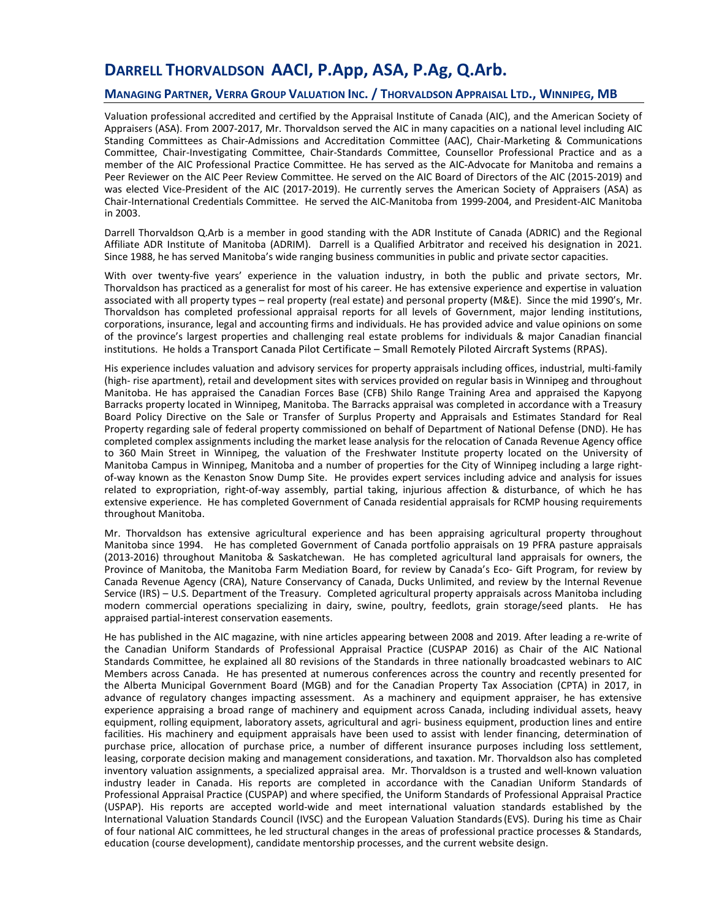# **DARRELL THORVALDSON AACI, P.App, ASA, P.Ag, Q.Arb.**

#### **MANAGING PARTNER, VERRA GROUP VALUATION INC. / THORVALDSON APPRAISAL LTD., WINNIPEG, MB**

Valuation professional accredited and certified by the Appraisal Institute of Canada (AIC), and the American Society of Appraisers (ASA). From 2007-2017, Mr. Thorvaldson served the AIC in many capacities on a national level including AIC Standing Committees as Chair-Admissions and Accreditation Committee (AAC), Chair-Marketing & Communications Committee, Chair-Investigating Committee, Chair-Standards Committee, Counsellor Professional Practice and as a member of the AIC Professional Practice Committee. He has served as the AIC-Advocate for Manitoba and remains a Peer Reviewer on the AIC Peer Review Committee. He served on the AIC Board of Directors of the AIC (2015-2019) and was elected Vice-President of the AIC (2017-2019). He currently serves the American Society of Appraisers (ASA) as Chair-International Credentials Committee. He served the AIC-Manitoba from 1999-2004, and President-AIC Manitoba in 2003.

Darrell Thorvaldson Q.Arb is a member in good standing with the ADR Institute of Canada (ADRIC) and the Regional Affiliate ADR Institute of Manitoba (ADRIM). Darrell is a Qualified Arbitrator and received his designation in 2021. Since 1988, he has served Manitoba's wide ranging business communities in public and private sector capacities.

With over twenty-five years' experience in the valuation industry, in both the public and private sectors, Mr. Thorvaldson has practiced as a generalist for most of his career. He has extensive experience and expertise in valuation associated with all property types – real property (real estate) and personal property (M&E). Since the mid 1990's, Mr. Thorvaldson has completed professional appraisal reports for all levels of Government, major lending institutions, corporations, insurance, legal and accounting firms and individuals. He has provided advice and value opinions on some of the province's largest properties and challenging real estate problems for individuals & major Canadian financial institutions. He holds a Transport Canada Pilot Certificate – Small Remotely Piloted Aircraft Systems (RPAS).

His experience includes valuation and advisory services for property appraisals including offices, industrial, multi-family (high- rise apartment), retail and development sites with services provided on regular basis in Winnipeg and throughout Manitoba. He has appraised the Canadian Forces Base (CFB) Shilo Range Training Area and appraised the Kapyong Barracks property located in Winnipeg, Manitoba. The Barracks appraisal was completed in accordance with a Treasury Board Policy Directive on the Sale or Transfer of Surplus Property and Appraisals and Estimates Standard for Real Property regarding sale of federal property commissioned on behalf of Department of National Defense (DND). He has completed complex assignments including the market lease analysis for the relocation of Canada Revenue Agency office to 360 Main Street in Winnipeg, the valuation of the Freshwater Institute property located on the University of Manitoba Campus in Winnipeg, Manitoba and a number of properties for the City of Winnipeg including a large rightof-way known as the Kenaston Snow Dump Site. He provides expert services including advice and analysis for issues related to expropriation, right-of-way assembly, partial taking, injurious affection & disturbance, of which he has extensive experience. He has completed Government of Canada residential appraisals for RCMP housing requirements throughout Manitoba.

Mr. Thorvaldson has extensive agricultural experience and has been appraising agricultural property throughout Manitoba since 1994. He has completed Government of Canada portfolio appraisals on 19 PFRA pasture appraisals (2013-2016) throughout Manitoba & Saskatchewan. He has completed agricultural land appraisals for owners, the Province of Manitoba, the Manitoba Farm Mediation Board, for review by Canada's Eco- Gift Program, for review by Canada Revenue Agency (CRA), Nature Conservancy of Canada, Ducks Unlimited, and review by the Internal Revenue Service (IRS) – U.S. Department of the Treasury. Completed agricultural property appraisals across Manitoba including modern commercial operations specializing in dairy, swine, poultry, feedlots, grain storage/seed plants. He has appraised partial-interest conservation easements.

He has published in the AIC magazine, with nine articles appearing between 2008 and 2019. After leading a re-write of the Canadian Uniform Standards of Professional Appraisal Practice (CUSPAP 2016) as Chair of the AIC National Standards Committee, he explained all 80 revisions of the Standards in three nationally broadcasted webinars to AIC Members across Canada. He has presented at numerous conferences across the country and recently presented for the Alberta Municipal Government Board (MGB) and for the Canadian Property Tax Association (CPTA) in 2017, in advance of regulatory changes impacting assessment. As a machinery and equipment appraiser, he has extensive experience appraising a broad range of machinery and equipment across Canada, including individual assets, heavy equipment, rolling equipment, laboratory assets, agricultural and agri- business equipment, production lines and entire facilities. His machinery and equipment appraisals have been used to assist with lender financing, determination of purchase price, allocation of purchase price, a number of different insurance purposes including loss settlement, leasing, corporate decision making and management considerations, and taxation. Mr. Thorvaldson also has completed inventory valuation assignments, a specialized appraisal area. Mr. Thorvaldson is a trusted and well-known valuation industry leader in Canada. His reports are completed in accordance with the Canadian Uniform Standards of Professional Appraisal Practice (CUSPAP) and where specified, the Uniform Standards of Professional Appraisal Practice (USPAP). His reports are accepted world-wide and meet international valuation standards established by the International Valuation Standards Council (IVSC) and the European Valuation Standards(EVS). During his time as Chair of four national AIC committees, he led structural changes in the areas of professional practice processes & Standards, education (course development), candidate mentorship processes, and the current website design.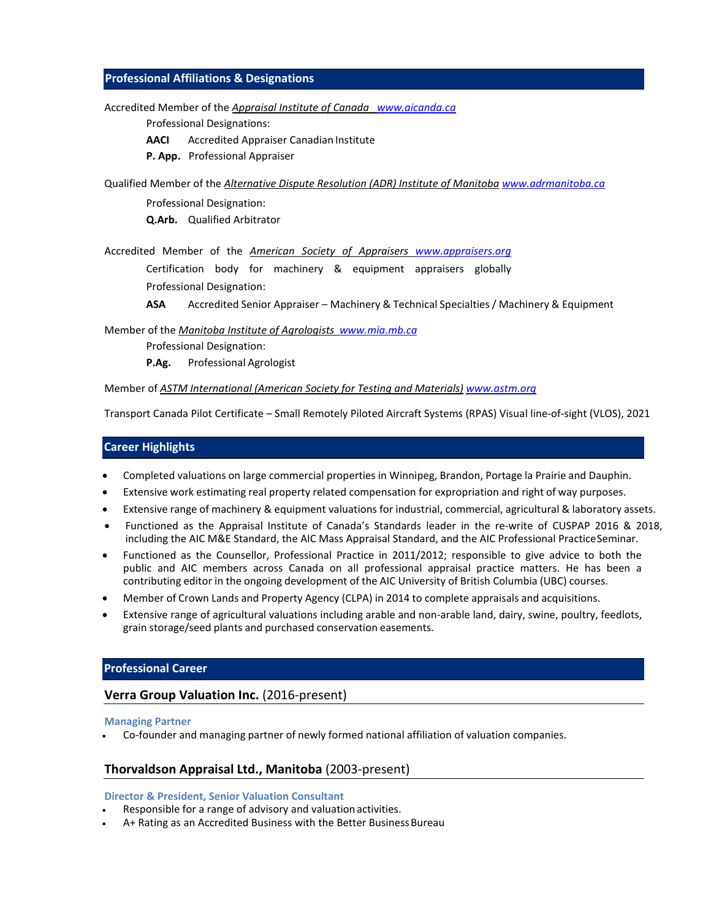### **Professional Affiliations & Designations**

Accredited Member of the *Appraisal Institute of Canada www.aicanda.ca*

Professional Designations:

**AACI** Accredited Appraiser Canadian Institute

**P. App.** Professional Appraiser

Qualified Member of the *Alternative Dispute Resolution (ADR) Institute of Manitoba www.adrmanitoba.ca*

Professional Designation: **Q.Arb.** Qualified Arbitrator

Accredited Member of the *American Society of Appraisers www.appraisers.org* Certification body for machinery & equipment appraisers globally Professional Designation:

**ASA** Accredited Senior Appraiser – Machinery & Technical Specialties/ Machinery & Equipment

Member of the *Manitoba Institute of Agrologists www.mia.mb.ca*

Professional Designation:

**P.Ag.** Professional Agrologist

Member of *ASTM International (American Society for Testing and Materials) www.astm.org*

Transport Canada Pilot Certificate – Small Remotely Piloted Aircraft Systems (RPAS) Visual line-of-sight (VLOS), 2021

### **Career Highlights**

- Completed valuations on large commercial properties in Winnipeg, Brandon, Portage la Prairie and Dauphin.
- Extensive work estimating real property related compensation for expropriation and right of way purposes.
- Extensive range of machinery & equipment valuations for industrial, commercial, agricultural & laboratory assets.
- Functioned as the Appraisal Institute of Canada's Standards leader in the re-write of CUSPAP 2016 & 2018, including the AIC M&E Standard, the AIC Mass Appraisal Standard, and the AIC Professional PracticeSeminar.
- Functioned as the Counsellor, Professional Practice in 2011/2012; responsible to give advice to both the public and AIC members across Canada on all professional appraisal practice matters. He has been a contributing editor in the ongoing development of the AIC University of British Columbia (UBC) courses.
- Member of Crown Lands and Property Agency (CLPA) in 2014 to complete appraisals and acquisitions.
- Extensive range of agricultural valuations including arable and non-arable land, dairy, swine, poultry, feedlots, grain storage/seed plants and purchased conservation easements.

### **Professional Career**

### **Verra Group Valuation Inc.** (2016-present)

#### **Managing Partner**

Co-founder and managing partner of newly formed national affiliation of valuation companies.

### **Thorvaldson Appraisal Ltd., Manitoba** (2003-present)

#### **Director & President, Senior Valuation Consultant**

- Responsible for a range of advisory and valuation activities.
- A+ Rating as an Accredited Business with the Better Business Bureau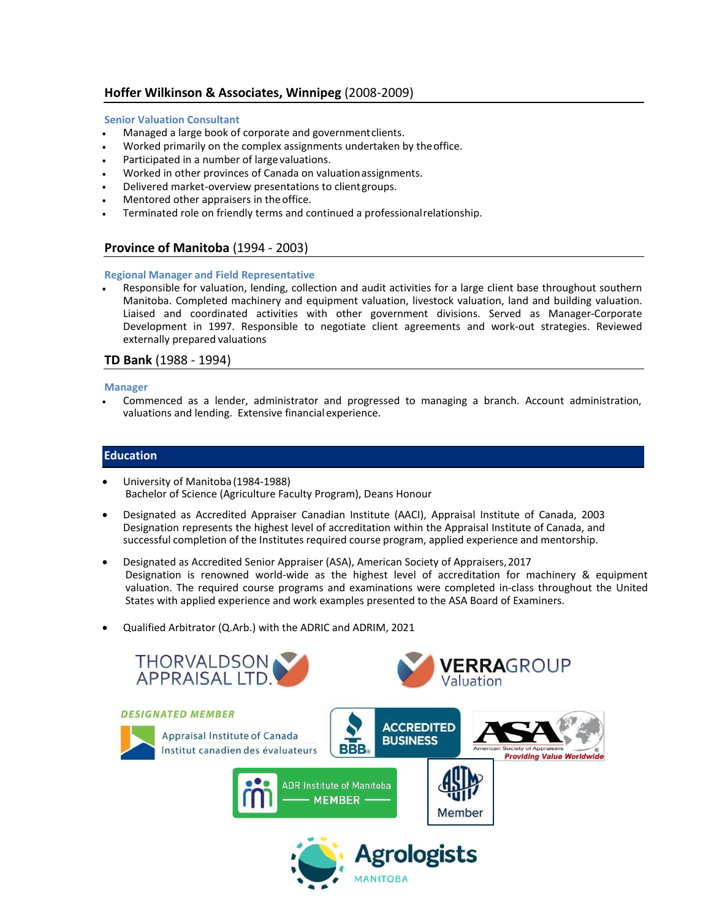## **Hoffer Wilkinson & Associates, Winnipeg** (2008-2009)

#### **Senior Valuation Consultant**

- Managed a large book of corporate and governmentclients.
- Worked primarily on the complex assignments undertaken by theoffice.
- Participated in a number of large valuations.
- Worked in other provinces of Canada on valuationassignments.
- Delivered market-overview presentations to clientgroups.
- Mentored other appraisers in the office.
- Terminated role on friendly terms and continued a professionalrelationship.

### **Province of Manitoba** (1994 - 2003)

#### **Regional Manager and Field Representative**

 Responsible for valuation, lending, collection and audit activities for a large client base throughout southern Manitoba. Completed machinery and equipment valuation, livestock valuation, land and building valuation. Liaised and coordinated activities with other government divisions. Served as Manager-Corporate Development in 1997. Responsible to negotiate client agreements and work-out strategies. Reviewed externally prepared valuations

### **TD Bank** (1988 - 1994)

#### **Manager**

 Commenced as a lender, administrator and progressed to managing a branch. Account administration, valuations and lending. Extensive financialexperience.

### **Education**

- University of Manitoba (1984-1988) Bachelor of Science (Agriculture Faculty Program), Deans Honour
- Designated as Accredited Appraiser Canadian Institute (AACI), Appraisal Institute of Canada, 2003 Designation represents the highest level of accreditation within the Appraisal Institute of Canada, and successful completion of the Institutes required course program, applied experience and mentorship.
- Designated as Accredited Senior Appraiser (ASA), American Society of Appraisers,2017 Designation is renowned world-wide as the highest level of accreditation for machinery & equipment valuation. The required course programs and examinations were completed in-class throughout the United States with applied experience and work examples presented to the ASA Board of Examiners.
- Qualified Arbitrator (Q.Arb.) with the ADRIC and ADRIM, 2021

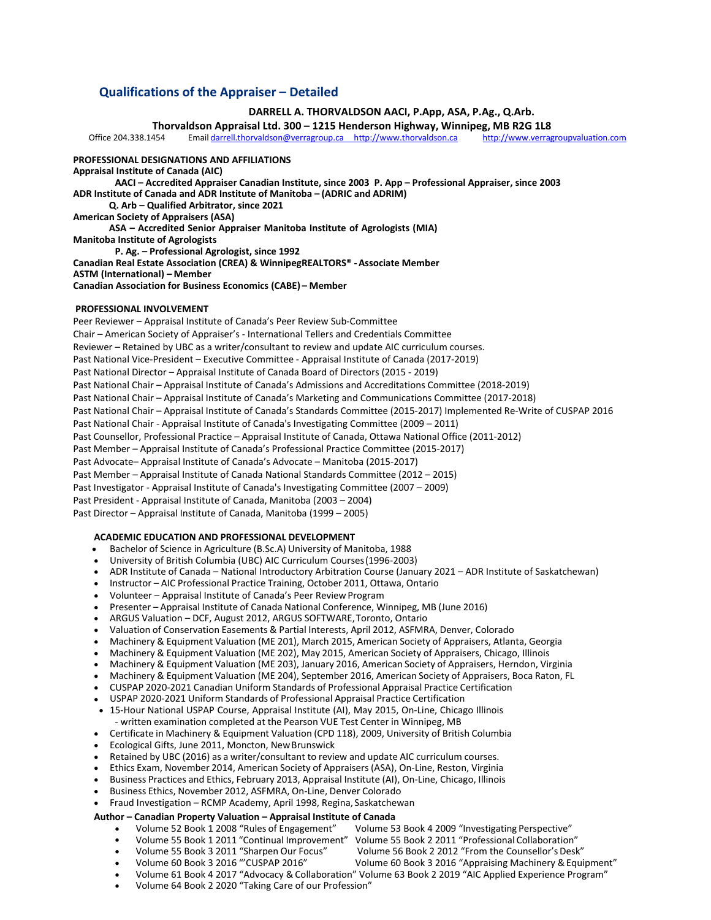### **Qualifications of the Appraiser – Detailed**

#### **DARRELL A. THORVALDSON AACI, P.App, ASA, P.Ag., Q.Arb.**

**Thorvaldson Appraisal Ltd. 300 – 1215 Henderson Highway, Winnipeg, MB R2G 1L8**<br>Office 204.338.1454 Email darrell.thorvaldson@verragroup.ca http://www.thorvaldson.ca http://www.verragroupvaluation.com Email darrell.thorvaldson@verragroup.ca http://www.thorvaldson.ca

**PROFESSIONAL DESIGNATIONS AND AFFILIATIONS**

**Appraisal Institute of Canada (AIC) AACI – Accredited Appraiser Canadian Institute, since 2003 P. App – Professional Appraiser, since 2003 ADR Institute of Canada and ADR Institute of Manitoba – (ADRIC and ADRIM) Q. Arb – Qualified Arbitrator, since 2021 American Society of Appraisers (ASA) ASA – Accredited Senior Appraiser Manitoba Institute of Agrologists (MIA) Manitoba Institute of Agrologists P. Ag. – Professional Agrologist, since 1992 Canadian Real Estate Association (CREA) & WinnipegREALTORS® -Associate Member ASTM (International) – Member Canadian Association for Business Economics (CABE) – Member**

#### **PROFESSIONAL INVOLVEMENT**

Peer Reviewer – Appraisal Institute of Canada's Peer Review Sub-Committee Chair – American Society of Appraiser's - International Tellers and Credentials Committee Reviewer – Retained by UBC as a writer/consultant to review and update AIC curriculum courses. Past National Vice-President – Executive Committee - Appraisal Institute of Canada (2017-2019) Past National Director – Appraisal Institute of Canada Board of Directors (2015 - 2019) Past National Chair – Appraisal Institute of Canada's Admissions and Accreditations Committee (2018-2019) Past National Chair – Appraisal Institute of Canada's Marketing and Communications Committee (2017-2018) Past National Chair – Appraisal Institute of Canada's Standards Committee (2015-2017) Implemented Re-Write of CUSPAP 2016 Past National Chair - Appraisal Institute of Canada's Investigating Committee (2009 – 2011) Past Counsellor, Professional Practice – Appraisal Institute of Canada, Ottawa National Office (2011-2012) Past Member – Appraisal Institute of Canada's Professional Practice Committee (2015-2017) Past Advocate– Appraisal Institute of Canada's Advocate – Manitoba (2015-2017) Past Member – Appraisal Institute of Canada National Standards Committee (2012 – 2015) Past Investigator - Appraisal Institute of Canada's Investigating Committee (2007 – 2009) Past President - Appraisal Institute of Canada, Manitoba (2003 – 2004) Past Director – Appraisal Institute of Canada, Manitoba (1999 – 2005)

#### **ACADEMIC EDUCATION AND PROFESSIONAL DEVELOPMENT**

- Bachelor of Science in Agriculture (B.Sc.A) University of Manitoba, 1988
- University of British Columbia (UBC) AIC Curriculum Courses(1996-2003)
- ADR Institute of Canada National Introductory Arbitration Course (January 2021 ADR Institute of Saskatchewan)
- Instructor AIC Professional Practice Training, October 2011, Ottawa, Ontario
- Volunteer Appraisal Institute of Canada's Peer ReviewProgram
- Presenter Appraisal Institute of Canada National Conference, Winnipeg, MB (June 2016)
- ARGUS Valuation DCF, August 2012, ARGUS SOFTWARE,Toronto, Ontario
- Valuation of Conservation Easements & Partial Interests, April 2012, ASFMRA, Denver, Colorado
- Machinery & Equipment Valuation (ME 201), March 2015, American Society of Appraisers, Atlanta, Georgia
- Machinery & Equipment Valuation (ME 202), May 2015, American Society of Appraisers, Chicago, Illinois
- Machinery & Equipment Valuation (ME 203), January 2016, American Society of Appraisers, Herndon, Virginia
- Machinery & Equipment Valuation (ME 204), September 2016, American Society of Appraisers, Boca Raton, FL
- CUSPAP 2020-2021 Canadian Uniform Standards of Professional Appraisal Practice Certification
- USPAP 2020-2021 Uniform Standards of Professional Appraisal Practice Certification
- 15-Hour National USPAP Course, Appraisal Institute (AI), May 2015, On-Line, Chicago Illinois - written examination completed at the Pearson VUE Test Center in Winnipeg, MB
- Certificate in Machinery & Equipment Valuation (CPD 118), 2009, University of British Columbia
- Ecological Gifts, June 2011, Moncton, NewBrunswick
- Retained by UBC (2016) as a writer/consultant to review and update AIC curriculum courses.
- Ethics Exam, November 2014, American Society of Appraisers (ASA), On-Line, Reston, Virginia
- Business Practices and Ethics, February 2013, Appraisal Institute (AI), On-Line, Chicago, Illinois
- Business Ethics, November 2012, ASFMRA, On-Line, Denver Colorado

# Fraud Investigation – RCMP Academy, April 1998, Regina, Saskatchewan

# **Author – Canadian Property Valuation – Appraisal Institute of Canada**

- Volume 52 Book 1 2008 "Rules of Engagement" Volume 53 Book 4 2009 "Investigating Perspective"
- Volume 55 Book 1 2011 "Continual Improvement" Volume 55 Book 2 2011 "Professional Collaboration"
- 
- Volume 55 Book 3 2011 "Sharpen Our Focus" Volume 56 Book 2 2012 "From the Counsellor's Desk" Volume 60 Book 3 2016 "CUSPAP 2016" Volume 60 Book 3 2016 "CUSPAP 2016" Volume 60 Book 3 2016 "CUSPAP 2016" Volume 60 Book 3 2016 "Appraising Machinery & Equipment"
- Volume 61 Book 4 2017 "Advocacy & Collaboration" Volume 63 Book 2 2019 "AIC Applied Experience Program"
- Volume 64 Book 2 2020 "Taking Care of our Profession"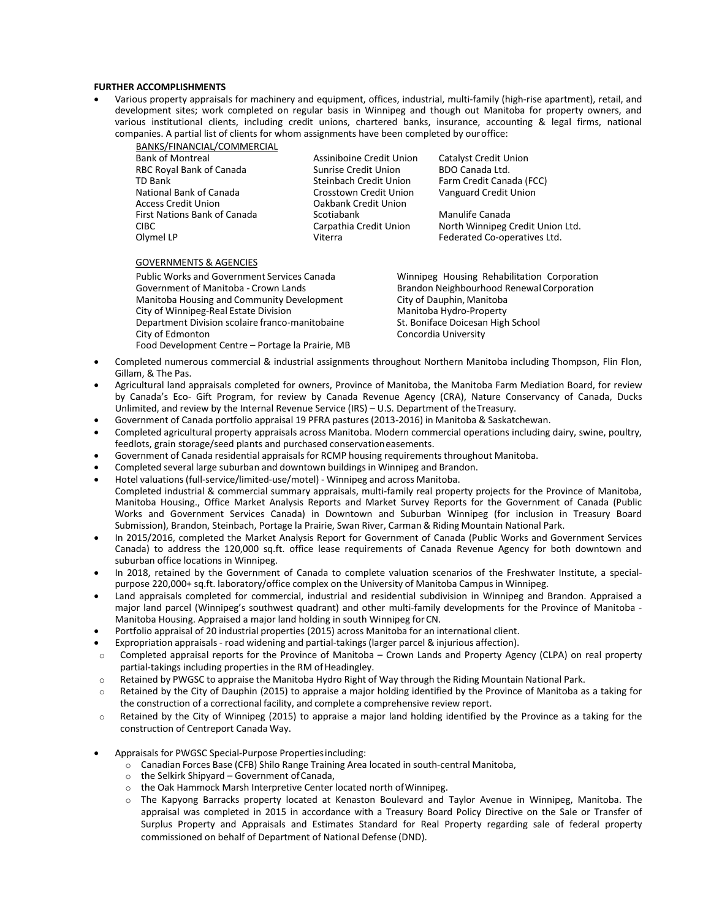#### **FURTHER ACCOMPLISHMENTS**

 Various property appraisals for machinery and equipment, offices, industrial, multi-family (high-rise apartment), retail, and development sites; work completed on regular basis in Winnipeg and though out Manitoba for property owners, and various institutional clients, including credit unions, chartered banks, insurance, accounting & legal firms, national companies. A partial list of clients for whom assignments have been completed by ouroffice:

BANKS/FINANCIAL/COMMERCIAL Bank of Montreal **Assiniboine Credit Union** Catalyst Credit Union RBC Royal Bank of Canada Sunrise Credit Union BDO Canada Ltd.<br>TD Bank Steinbach Credit Union Farm Credit Cana National Bank of Canada Crosstown Credit Union Vanguard Credit Union Access Credit Union<br>
First Nations Bank of Canada<br>
Scotiabank First Nations Bank of Canada Scotiabank Scotiabank Manulife Canada

Farm Credit Canada (FCC)

CIBC CARPATHIA Carpathia Credit Union North Winnipeg Credit Union Ltd. Olymel LP **Viterra Federated Co-operatives Ltd.** 

#### GOVERNMENTS & AGENCIES

Public Works and Government Services Canada Winnipeg Housing Rehabilitation Corporation Government of Manitoba - Crown Lands Brandon Neighbourhood Renewal Corporation Manitoba Housing and Community Development City of Dauphin, Manitoba<br>City of Winnipeg-Real Estate Division City of Manitoba Hydro-Property City of Winnipeg-Real Estate Division Department Division scolaire franco-manitobaine St. Boniface Doicesan High School<br>City of Edmonton City of Edmonton Food Development Centre – Portage la Prairie, MB

Concordia University

- Completed numerous commercial & industrial assignments throughout Northern Manitoba including Thompson, Flin Flon, Gillam, & The Pas.
- Agricultural land appraisals completed for owners, Province of Manitoba, the Manitoba Farm Mediation Board, for review by Canada's Eco- Gift Program, for review by Canada Revenue Agency (CRA), Nature Conservancy of Canada, Ducks Unlimited, and review by the Internal Revenue Service (IRS) – U.S. Department of theTreasury.
- Government of Canada portfolio appraisal 19 PFRA pastures (2013-2016) in Manitoba & Saskatchewan.
- Completed agricultural property appraisals across Manitoba. Modern commercial operations including dairy, swine, poultry, feedlots, grain storage/seed plants and purchased conservationeasements.
- Government of Canada residential appraisals for RCMP housing requirements throughout Manitoba.
- Completed several large suburban and downtown buildings in Winnipeg and Brandon.
- Hotel valuations(full-service/limited-use/motel) Winnipeg and across Manitoba.
- Completed industrial & commercial summary appraisals, multi-family real property projects for the Province of Manitoba, Manitoba Housing., Office Market Analysis Reports and Market Survey Reports for the Government of Canada (Public Works and Government Services Canada) in Downtown and Suburban Winnipeg (for inclusion in Treasury Board Submission), Brandon, Steinbach, Portage la Prairie, Swan River, Carman & Riding Mountain National Park.
- In 2015/2016, completed the Market Analysis Report for Government of Canada (Public Works and Government Services Canada) to address the 120,000 sq.ft. office lease requirements of Canada Revenue Agency for both downtown and suburban office locations in Winnipeg.
- In 2018, retained by the Government of Canada to complete valuation scenarios of the Freshwater Institute, a specialpurpose 220,000+ sq.ft. laboratory/office complex on the University of Manitoba Campus in Winnipeg.
- Land appraisals completed for commercial, industrial and residential subdivision in Winnipeg and Brandon. Appraised a major land parcel (Winnipeg's southwest quadrant) and other multi-family developments for the Province of Manitoba - Manitoba Housing. Appraised a major land holding in south Winnipeg forCN.
- Portfolio appraisal of 20 industrial properties (2015) across Manitoba for an international client.
- Expropriation appraisals road widening and partial-takings(larger parcel & injurious affection).
- $\circ$  Completed appraisal reports for the Province of Manitoba Crown Lands and Property Agency (CLPA) on real property partial-takings including properties in the RM of Headingley.
- o Retained by PWGSC to appraise the Manitoba Hydro Right of Way through the Riding Mountain National Park.
- o Retained by the City of Dauphin (2015) to appraise a major holding identified by the Province of Manitoba as a taking for the construction of a correctional facility, and complete a comprehensive review report.
- o Retained by the City of Winnipeg (2015) to appraise a major land holding identified by the Province as a taking for the construction of Centreport Canada Way.
- Appraisals for PWGSC Special-Purpose Propertiesincluding:
	- o Canadian Forces Base (CFB) Shilo Range Training Area located in south-central Manitoba,
	- $\circ$  the Selkirk Shipyard Government of Canada,
	- o the Oak Hammock Marsh Interpretive Center located north ofWinnipeg.
	- o The Kapyong Barracks property located at Kenaston Boulevard and Taylor Avenue in Winnipeg, Manitoba. The appraisal was completed in 2015 in accordance with a Treasury Board Policy Directive on the Sale or Transfer of Surplus Property and Appraisals and Estimates Standard for Real Property regarding sale of federal property commissioned on behalf of Department of National Defense (DND).